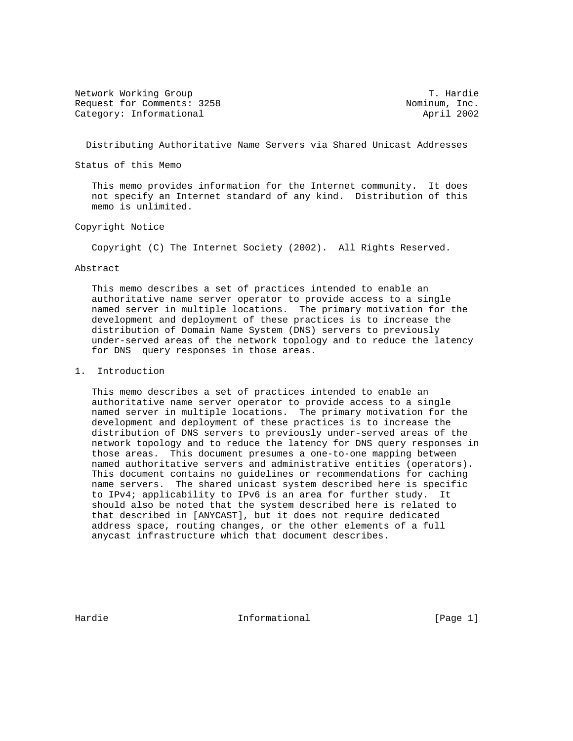Network Working Group T. Hardie Request for Comments: 3258 Nominum, Inc. Category: Informational and April 2002

Distributing Authoritative Name Servers via Shared Unicast Addresses

Status of this Memo

 This memo provides information for the Internet community. It does not specify an Internet standard of any kind. Distribution of this memo is unlimited.

# Copyright Notice

Copyright (C) The Internet Society (2002). All Rights Reserved.

#### Abstract

 This memo describes a set of practices intended to enable an authoritative name server operator to provide access to a single named server in multiple locations. The primary motivation for the development and deployment of these practices is to increase the distribution of Domain Name System (DNS) servers to previously under-served areas of the network topology and to reduce the latency for DNS query responses in those areas.

## 1. Introduction

 This memo describes a set of practices intended to enable an authoritative name server operator to provide access to a single named server in multiple locations. The primary motivation for the development and deployment of these practices is to increase the distribution of DNS servers to previously under-served areas of the network topology and to reduce the latency for DNS query responses in those areas. This document presumes a one-to-one mapping between named authoritative servers and administrative entities (operators). This document contains no guidelines or recommendations for caching name servers. The shared unicast system described here is specific to IPv4; applicability to IPv6 is an area for further study. It should also be noted that the system described here is related to that described in [ANYCAST], but it does not require dedicated address space, routing changes, or the other elements of a full anycast infrastructure which that document describes.

Hardie **Informational Informational** [Page 1]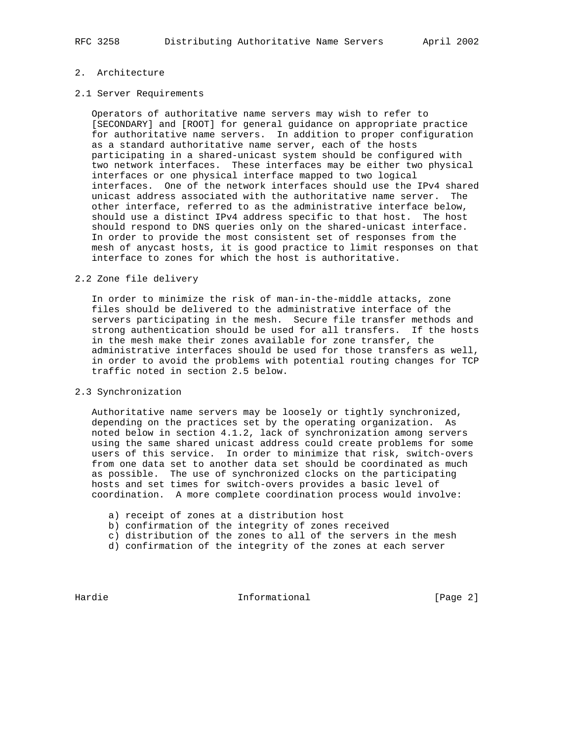# 2. Architecture

#### 2.1 Server Requirements

 Operators of authoritative name servers may wish to refer to [SECONDARY] and [ROOT] for general guidance on appropriate practice for authoritative name servers. In addition to proper configuration as a standard authoritative name server, each of the hosts participating in a shared-unicast system should be configured with two network interfaces. These interfaces may be either two physical interfaces or one physical interface mapped to two logical interfaces. One of the network interfaces should use the IPv4 shared unicast address associated with the authoritative name server. The other interface, referred to as the administrative interface below, should use a distinct IPv4 address specific to that host. The host should respond to DNS queries only on the shared-unicast interface. In order to provide the most consistent set of responses from the mesh of anycast hosts, it is good practice to limit responses on that interface to zones for which the host is authoritative.

# 2.2 Zone file delivery

 In order to minimize the risk of man-in-the-middle attacks, zone files should be delivered to the administrative interface of the servers participating in the mesh. Secure file transfer methods and strong authentication should be used for all transfers. If the hosts in the mesh make their zones available for zone transfer, the administrative interfaces should be used for those transfers as well, in order to avoid the problems with potential routing changes for TCP traffic noted in section 2.5 below.

#### 2.3 Synchronization

 Authoritative name servers may be loosely or tightly synchronized, depending on the practices set by the operating organization. As noted below in section 4.1.2, lack of synchronization among servers using the same shared unicast address could create problems for some users of this service. In order to minimize that risk, switch-overs from one data set to another data set should be coordinated as much as possible. The use of synchronized clocks on the participating hosts and set times for switch-overs provides a basic level of coordination. A more complete coordination process would involve:

- a) receipt of zones at a distribution host
- b) confirmation of the integrity of zones received
- c) distribution of the zones to all of the servers in the mesh
- d) confirmation of the integrity of the zones at each server

Hardie **Informational Informational** [Page 2]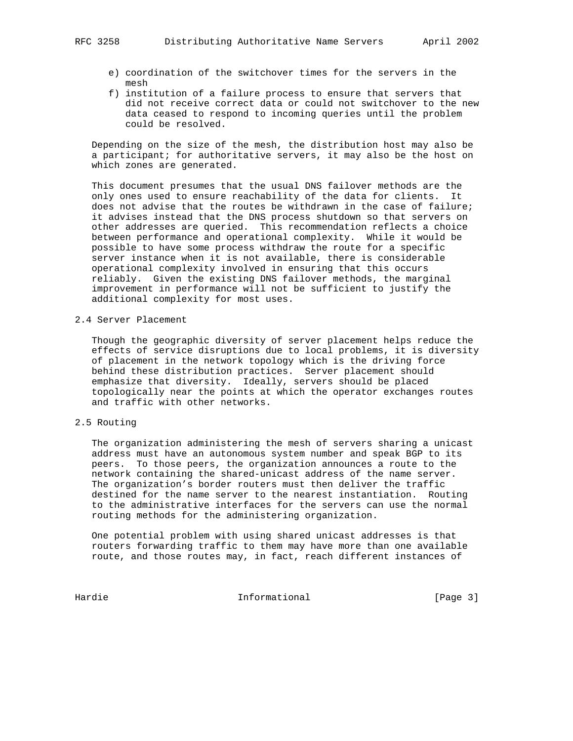- - e) coordination of the switchover times for the servers in the mesh
	- f) institution of a failure process to ensure that servers that did not receive correct data or could not switchover to the new data ceased to respond to incoming queries until the problem could be resolved.

 Depending on the size of the mesh, the distribution host may also be a participant; for authoritative servers, it may also be the host on which zones are generated.

 This document presumes that the usual DNS failover methods are the only ones used to ensure reachability of the data for clients. It does not advise that the routes be withdrawn in the case of failure; it advises instead that the DNS process shutdown so that servers on other addresses are queried. This recommendation reflects a choice between performance and operational complexity. While it would be possible to have some process withdraw the route for a specific server instance when it is not available, there is considerable operational complexity involved in ensuring that this occurs reliably. Given the existing DNS failover methods, the marginal improvement in performance will not be sufficient to justify the additional complexity for most uses.

2.4 Server Placement

 Though the geographic diversity of server placement helps reduce the effects of service disruptions due to local problems, it is diversity of placement in the network topology which is the driving force behind these distribution practices. Server placement should emphasize that diversity. Ideally, servers should be placed topologically near the points at which the operator exchanges routes and traffic with other networks.

# 2.5 Routing

 The organization administering the mesh of servers sharing a unicast address must have an autonomous system number and speak BGP to its peers. To those peers, the organization announces a route to the network containing the shared-unicast address of the name server. The organization's border routers must then deliver the traffic destined for the name server to the nearest instantiation. Routing to the administrative interfaces for the servers can use the normal routing methods for the administering organization.

 One potential problem with using shared unicast addresses is that routers forwarding traffic to them may have more than one available route, and those routes may, in fact, reach different instances of

Hardie **Informational Informational** [Page 3]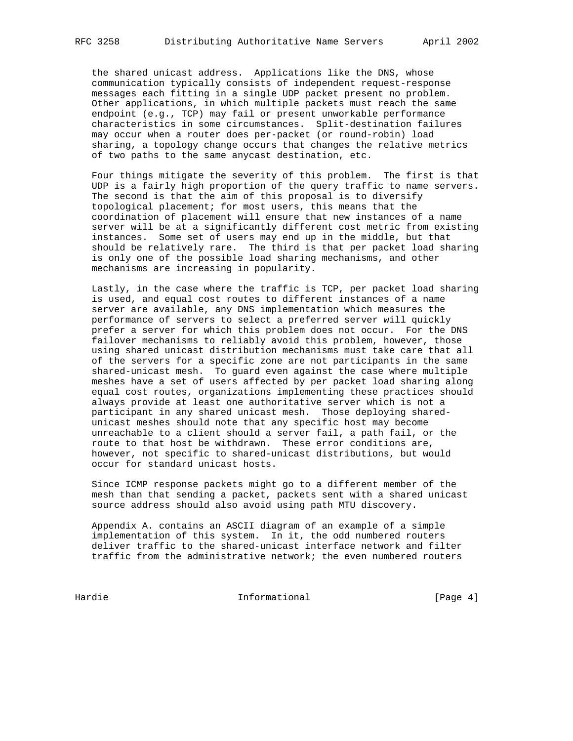the shared unicast address. Applications like the DNS, whose communication typically consists of independent request-response messages each fitting in a single UDP packet present no problem. Other applications, in which multiple packets must reach the same endpoint (e.g., TCP) may fail or present unworkable performance characteristics in some circumstances. Split-destination failures may occur when a router does per-packet (or round-robin) load sharing, a topology change occurs that changes the relative metrics of two paths to the same anycast destination, etc.

 Four things mitigate the severity of this problem. The first is that UDP is a fairly high proportion of the query traffic to name servers. The second is that the aim of this proposal is to diversify topological placement; for most users, this means that the coordination of placement will ensure that new instances of a name server will be at a significantly different cost metric from existing instances. Some set of users may end up in the middle, but that should be relatively rare. The third is that per packet load sharing is only one of the possible load sharing mechanisms, and other mechanisms are increasing in popularity.

 Lastly, in the case where the traffic is TCP, per packet load sharing is used, and equal cost routes to different instances of a name server are available, any DNS implementation which measures the performance of servers to select a preferred server will quickly prefer a server for which this problem does not occur. For the DNS failover mechanisms to reliably avoid this problem, however, those using shared unicast distribution mechanisms must take care that all of the servers for a specific zone are not participants in the same shared-unicast mesh. To guard even against the case where multiple meshes have a set of users affected by per packet load sharing along equal cost routes, organizations implementing these practices should always provide at least one authoritative server which is not a participant in any shared unicast mesh. Those deploying shared unicast meshes should note that any specific host may become unreachable to a client should a server fail, a path fail, or the route to that host be withdrawn. These error conditions are, however, not specific to shared-unicast distributions, but would occur for standard unicast hosts.

 Since ICMP response packets might go to a different member of the mesh than that sending a packet, packets sent with a shared unicast source address should also avoid using path MTU discovery.

 Appendix A. contains an ASCII diagram of an example of a simple implementation of this system. In it, the odd numbered routers deliver traffic to the shared-unicast interface network and filter traffic from the administrative network; the even numbered routers

Hardie 1986 Informational 1986 [Page 4]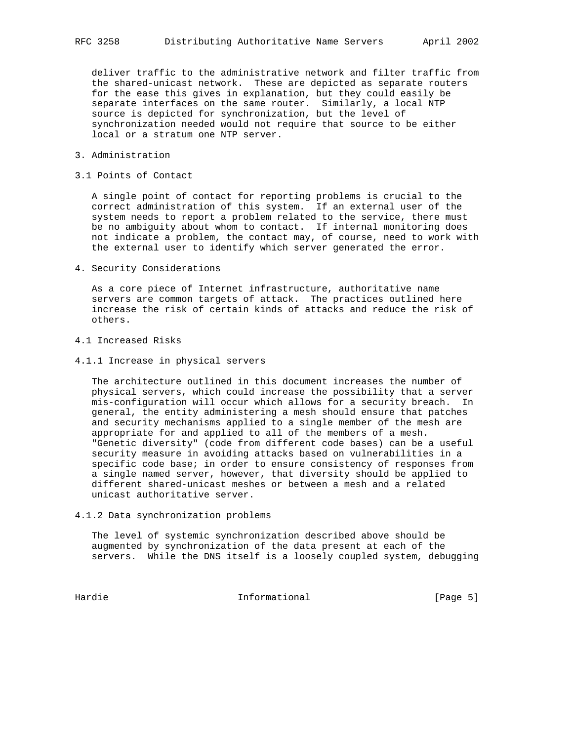deliver traffic to the administrative network and filter traffic from the shared-unicast network. These are depicted as separate routers for the ease this gives in explanation, but they could easily be separate interfaces on the same router. Similarly, a local NTP source is depicted for synchronization, but the level of synchronization needed would not require that source to be either local or a stratum one NTP server.

- 3. Administration
- 3.1 Points of Contact

 A single point of contact for reporting problems is crucial to the correct administration of this system. If an external user of the system needs to report a problem related to the service, there must be no ambiguity about whom to contact. If internal monitoring does not indicate a problem, the contact may, of course, need to work with the external user to identify which server generated the error.

4. Security Considerations

 As a core piece of Internet infrastructure, authoritative name servers are common targets of attack. The practices outlined here increase the risk of certain kinds of attacks and reduce the risk of others.

- 4.1 Increased Risks
- 4.1.1 Increase in physical servers

 The architecture outlined in this document increases the number of physical servers, which could increase the possibility that a server mis-configuration will occur which allows for a security breach. In general, the entity administering a mesh should ensure that patches and security mechanisms applied to a single member of the mesh are appropriate for and applied to all of the members of a mesh. "Genetic diversity" (code from different code bases) can be a useful security measure in avoiding attacks based on vulnerabilities in a specific code base; in order to ensure consistency of responses from a single named server, however, that diversity should be applied to different shared-unicast meshes or between a mesh and a related unicast authoritative server.

4.1.2 Data synchronization problems

 The level of systemic synchronization described above should be augmented by synchronization of the data present at each of the servers. While the DNS itself is a loosely coupled system, debugging

Hardie **Informational Informational** [Page 5]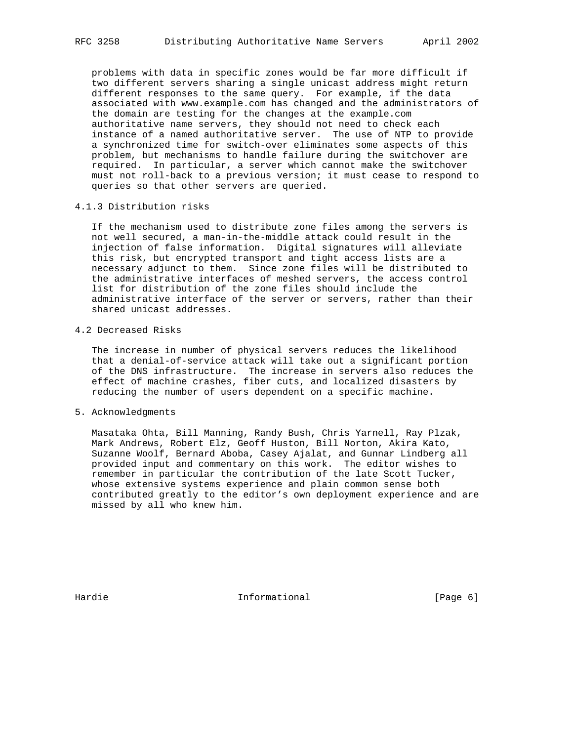problems with data in specific zones would be far more difficult if two different servers sharing a single unicast address might return different responses to the same query. For example, if the data associated with www.example.com has changed and the administrators of the domain are testing for the changes at the example.com authoritative name servers, they should not need to check each instance of a named authoritative server. The use of NTP to provide a synchronized time for switch-over eliminates some aspects of this problem, but mechanisms to handle failure during the switchover are required. In particular, a server which cannot make the switchover must not roll-back to a previous version; it must cease to respond to queries so that other servers are queried.

### 4.1.3 Distribution risks

 If the mechanism used to distribute zone files among the servers is not well secured, a man-in-the-middle attack could result in the injection of false information. Digital signatures will alleviate this risk, but encrypted transport and tight access lists are a necessary adjunct to them. Since zone files will be distributed to the administrative interfaces of meshed servers, the access control list for distribution of the zone files should include the administrative interface of the server or servers, rather than their shared unicast addresses.

#### 4.2 Decreased Risks

 The increase in number of physical servers reduces the likelihood that a denial-of-service attack will take out a significant portion of the DNS infrastructure. The increase in servers also reduces the effect of machine crashes, fiber cuts, and localized disasters by reducing the number of users dependent on a specific machine.

### 5. Acknowledgments

 Masataka Ohta, Bill Manning, Randy Bush, Chris Yarnell, Ray Plzak, Mark Andrews, Robert Elz, Geoff Huston, Bill Norton, Akira Kato, Suzanne Woolf, Bernard Aboba, Casey Ajalat, and Gunnar Lindberg all provided input and commentary on this work. The editor wishes to remember in particular the contribution of the late Scott Tucker, whose extensive systems experience and plain common sense both contributed greatly to the editor's own deployment experience and are missed by all who knew him.

Hardie **Informational Informational** [Page 6]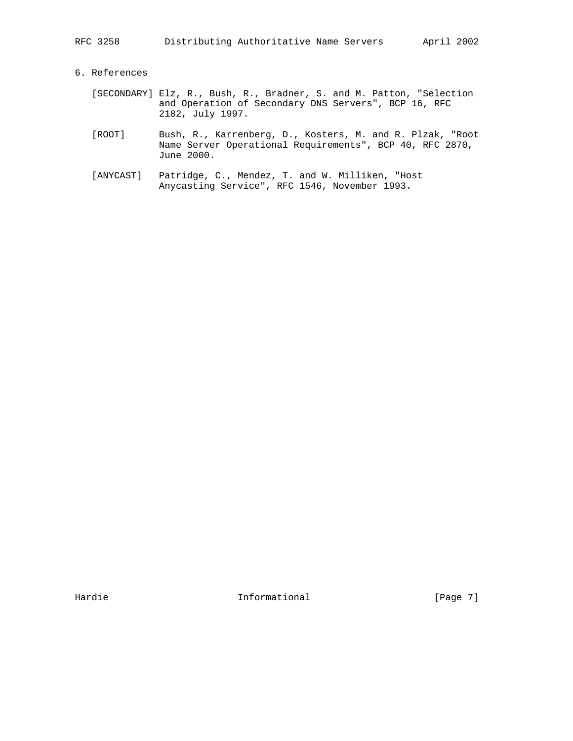# 6. References

- [SECONDARY] Elz, R., Bush, R., Bradner, S. and M. Patton, "Selection and Operation of Secondary DNS Servers", BCP 16, RFC 2182, July 1997.
- [ROOT] Bush, R., Karrenberg, D., Kosters, M. and R. Plzak, "Root Name Server Operational Requirements", BCP 40, RFC 2870, June 2000.
- [ANYCAST] Patridge, C., Mendez, T. and W. Milliken, "Host Anycasting Service", RFC 1546, November 1993.

Hardie **Informational Informational** [Page 7]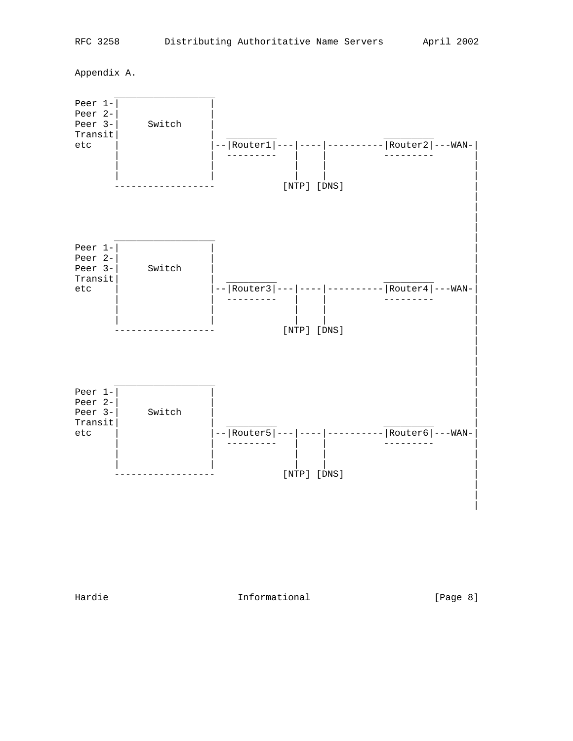Appendix A.



Hardie **Informational Informational Informational** [Page 8]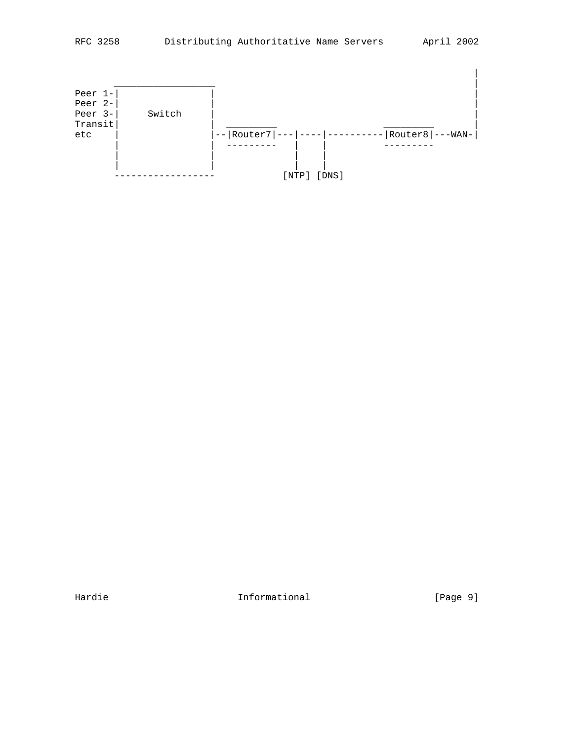

Hardie 1992 Informational 1996 [Page 9]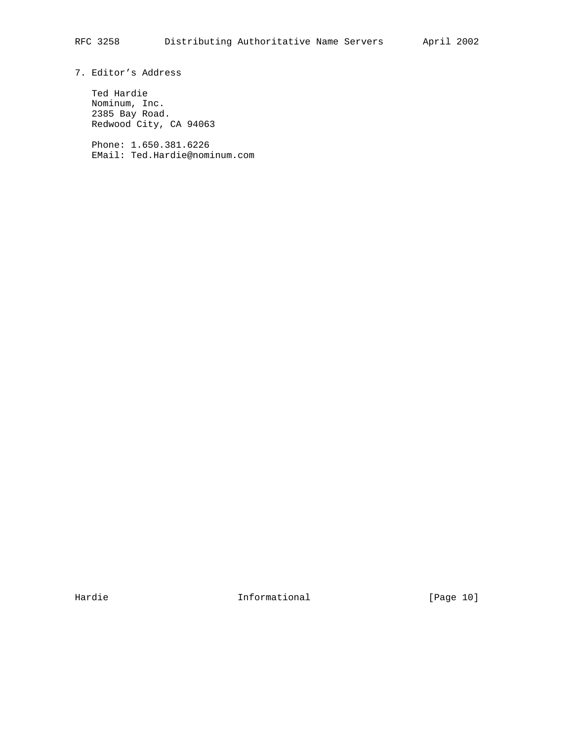# 7. Editor's Address

 Ted Hardie Nominum, Inc. 2385 Bay Road. Redwood City, CA 94063

 Phone: 1.650.381.6226 EMail: Ted.Hardie@nominum.com

Hardie 101 Informational 1999 [Page 10]